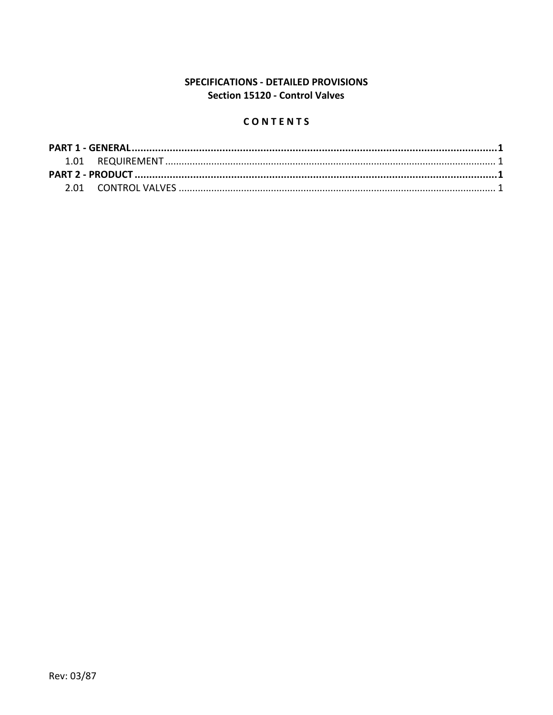# SPECIFICATIONS - DETAILED PROVISIONS Section 15120 - Control Valves

# CONTENTS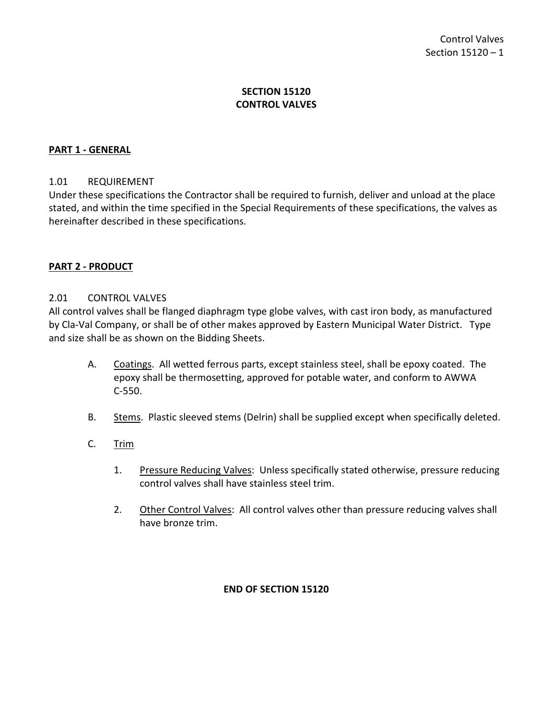## **SECTION 15120 CONTROL VALVES**

## <span id="page-2-0"></span>**PART 1 - GENERAL**

#### <span id="page-2-1"></span>1.01 REQUIREMENT

Under these specifications the Contractor shall be required to furnish, deliver and unload at the place stated, and within the time specified in the Special Requirements of these specifications, the valves as hereinafter described in these specifications.

#### <span id="page-2-2"></span>**PART 2 - PRODUCT**

#### <span id="page-2-3"></span>2.01 CONTROL VALVES

All control valves shall be flanged diaphragm type globe valves, with cast iron body, as manufactured by Cla-Val Company, or shall be of other makes approved by Eastern Municipal Water District. Type and size shall be as shown on the Bidding Sheets.

- A. Coatings. All wetted ferrous parts, except stainless steel, shall be epoxy coated. The epoxy shall be thermosetting, approved for potable water, and conform to AWWA C-550.
- B. Stems. Plastic sleeved stems (Delrin) shall be supplied except when specifically deleted.

## C. Trim

- 1. Pressure Reducing Valves: Unless specifically stated otherwise, pressure reducing control valves shall have stainless steel trim.
- 2. Other Control Valves: All control valves other than pressure reducing valves shall have bronze trim.

#### **END OF SECTION 15120**